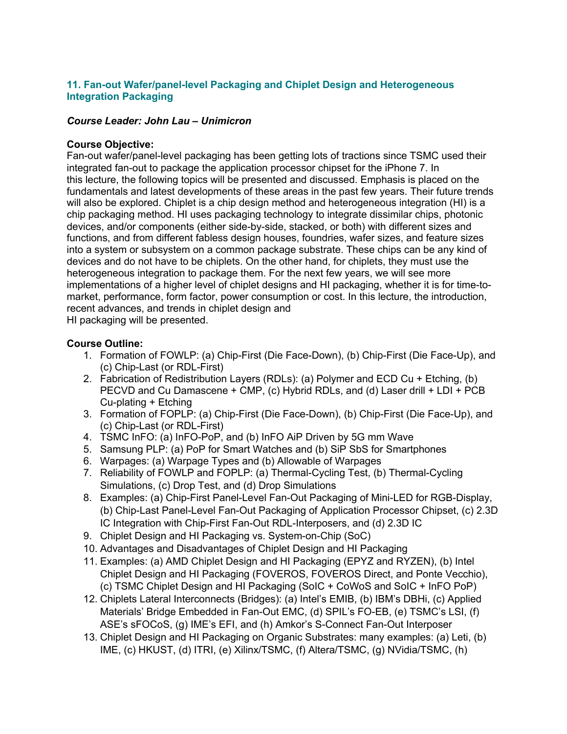# **11. Fan-out Wafer/panel-level Packaging and Chiplet Design and Heterogeneous Integration Packaging**

### *Course Leader: John Lau – Unimicron*

#### **Course Objective:**

Fan-out wafer/panel-level packaging has been getting lots of tractions since TSMC used their integrated fan-out to package the application processor chipset for the iPhone 7. In this lecture, the following topics will be presented and discussed. Emphasis is placed on the fundamentals and latest developments of these areas in the past few years. Their future trends will also be explored. Chiplet is a chip design method and heterogeneous integration (HI) is a chip packaging method. HI uses packaging technology to integrate dissimilar chips, photonic devices, and/or components (either side-by-side, stacked, or both) with different sizes and functions, and from different fabless design houses, foundries, wafer sizes, and feature sizes into a system or subsystem on a common package substrate. These chips can be any kind of devices and do not have to be chiplets. On the other hand, for chiplets, they must use the heterogeneous integration to package them. For the next few years, we will see more implementations of a higher level of chiplet designs and HI packaging, whether it is for time-tomarket, performance, form factor, power consumption or cost. In this lecture, the introduction, recent advances, and trends in chiplet design and

HI packaging will be presented.

## **Course Outline:**

- 1. Formation of FOWLP: (a) Chip-First (Die Face-Down), (b) Chip-First (Die Face-Up), and (c) Chip-Last (or RDL-First)
- 2. Fabrication of Redistribution Layers (RDLs): (a) Polymer and ECD Cu + Etching, (b) PECVD and Cu Damascene + CMP, (c) Hybrid RDLs, and (d) Laser drill + LDI + PCB Cu-plating + Etching
- 3. Formation of FOPLP: (a) Chip-First (Die Face-Down), (b) Chip-First (Die Face-Up), and (c) Chip-Last (or RDL-First)
- 4. TSMC InFO: (a) InFO-PoP, and (b) InFO AiP Driven by 5G mm Wave
- 5. Samsung PLP: (a) PoP for Smart Watches and (b) SiP SbS for Smartphones
- 6. Warpages: (a) Warpage Types and (b) Allowable of Warpages
- 7. Reliability of FOWLP and FOPLP: (a) Thermal-Cycling Test, (b) Thermal-Cycling Simulations, (c) Drop Test, and (d) Drop Simulations
- 8. Examples: (a) Chip-First Panel-Level Fan-Out Packaging of Mini-LED for RGB-Display, (b) Chip-Last Panel-Level Fan-Out Packaging of Application Processor Chipset, (c) 2.3D IC Integration with Chip-First Fan-Out RDL-Interposers, and (d) 2.3D IC
- 9. Chiplet Design and HI Packaging vs. System-on-Chip (SoC)
- 10. Advantages and Disadvantages of Chiplet Design and HI Packaging
- 11. Examples: (a) AMD Chiplet Design and HI Packaging (EPYZ and RYZEN), (b) Intel Chiplet Design and HI Packaging (FOVEROS, FOVEROS Direct, and Ponte Vecchio), (c) TSMC Chiplet Design and HI Packaging (SoIC + CoWoS and SoIC + InFO PoP)
- 12. Chiplets Lateral Interconnects (Bridges): (a) Intel's EMIB, (b) IBM's DBHi, (c) Applied Materials' Bridge Embedded in Fan-Out EMC, (d) SPIL's FO-EB, (e) TSMC's LSI, (f) ASE's sFOCoS, (g) IME's EFI, and (h) Amkor's S-Connect Fan-Out Interposer
- 13. Chiplet Design and HI Packaging on Organic Substrates: many examples: (a) Leti, (b) IME, (c) HKUST, (d) ITRI, (e) Xilinx/TSMC, (f) Altera/TSMC, (g) NVidia/TSMC, (h)